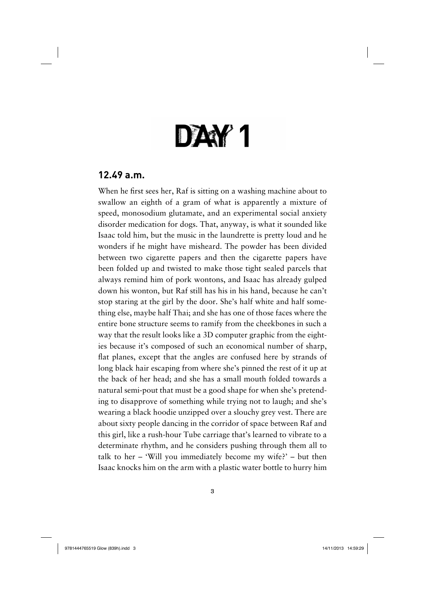

# **12.49 a.m.**

When he first sees her, Raf is sitting on a washing machine about to swallow an eighth of a gram of what is apparently a mixture of speed, monosodium glutamate, and an experimental social anxiety disorder medication for dogs. That, anyway, is what it sounded like Isaac told him, but the music in the laundrette is pretty loud and he wonders if he might have misheard. The powder has been divided between two cigarette papers and then the cigarette papers have been folded up and twisted to make those tight sealed parcels that always remind him of pork wontons, and Isaac has already gulped down his wonton, but Raf still has his in his hand, because he can't stop staring at the girl by the door. She's half white and half something else, maybe half Thai; and she has one of those faces where the entire bone structure seems to ramify from the cheekbones in such a way that the result looks like a 3D computer graphic from the eighties because it's composed of such an economical number of sharp, flat planes, except that the angles are confused here by strands of long black hair escaping from where she's pinned the rest of it up at the back of her head; and she has a small mouth folded towards a natural semi-pout that must be a good shape for when she's pretending to disapprove of something while trying not to laugh; and she's wearing a black hoodie unzipped over a slouchy grey vest. There are about sixty people dancing in the corridor of space between Raf and this girl, like a rush-hour Tube carriage that's learned to vibrate to a determinate rhythm, and he considers pushing through them all to talk to her – 'Will you immediately become my wife?' – but then Isaac knocks him on the arm with a plastic water bottle to hurry him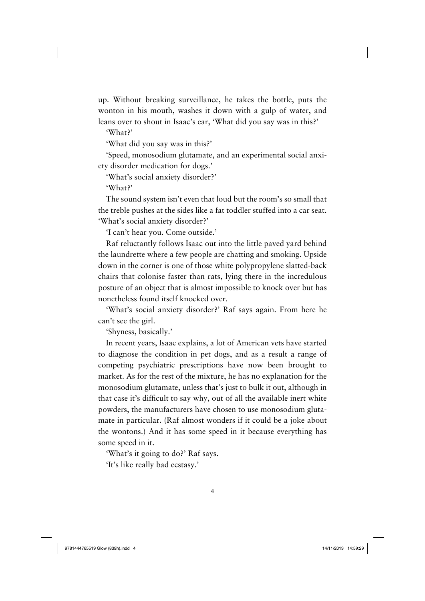up. Without breaking surveillance, he takes the bottle, puts the wonton in his mouth, washes it down with a gulp of water, and leans over to shout in Isaac's ear, 'What did you say was in this?'

'What?'

'What did you say was in this?'

'Speed, monosodium glutamate, and an experimental social anxiety disorder medication for dogs.'

'What's social anxiety disorder?'

'What?'

The sound system isn't even that loud but the room's so small that the treble pushes at the sides like a fat toddler stuffed into a car seat. 'What's social anxiety disorder?'

'I can't hear you. Come outside.'

Raf reluctantly follows Isaac out into the little paved yard behind the laundrette where a few people are chatting and smoking. Upside down in the corner is one of those white polypropylene slatted-back chairs that colonise faster than rats, lying there in the incredulous posture of an object that is almost impossible to knock over but has nonetheless found itself knocked over.

'What's social anxiety disorder?' Raf says again. From here he can't see the girl.

'Shyness, basically.'

In recent years, Isaac explains, a lot of American vets have started to diagnose the condition in pet dogs, and as a result a range of competing psychiatric prescriptions have now been brought to market. As for the rest of the mixture, he has no explanation for the monosodium glutamate, unless that's just to bulk it out, although in that case it's difficult to say why, out of all the available inert white powders, the manufacturers have chosen to use monosodium glutamate in particular. (Raf almost wonders if it could be a joke about the wontons.) And it has some speed in it because everything has some speed in it.

'What's it going to do?' Raf says. 'It's like really bad ecstasy.'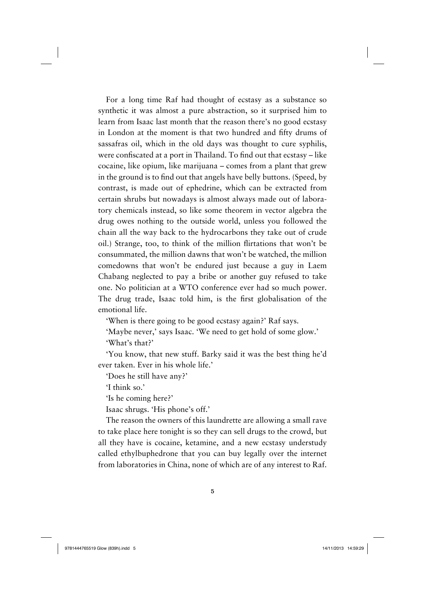For a long time Raf had thought of ecstasy as a substance so synthetic it was almost a pure abstraction, so it surprised him to learn from Isaac last month that the reason there's no good ecstasy in London at the moment is that two hundred and fifty drums of sassafras oil, which in the old days was thought to cure syphilis, were confiscated at a port in Thailand. To find out that ecstasy – like cocaine, like opium, like marijuana – comes from a plant that grew in the ground is to find out that angels have belly buttons. (Speed, by contrast, is made out of ephedrine, which can be extracted from certain shrubs but nowadays is almost always made out of laboratory chemicals instead, so like some theorem in vector algebra the drug owes nothing to the outside world, unless you followed the chain all the way back to the hydrocarbons they take out of crude oil.) Strange, too, to think of the million flirtations that won't be consummated, the million dawns that won't be watched, the million comedowns that won't be endured just because a guy in Laem Chabang neglected to pay a bribe or another guy refused to take one. No politician at a WTO conference ever had so much power. The drug trade, Isaac told him, is the first globalisation of the emotional life.

'When is there going to be good ecstasy again?' Raf says.

'Maybe never,' says Isaac. 'We need to get hold of some glow.' 'What's that?'

'You know, that new stuff. Barky said it was the best thing he'd ever taken. Ever in his whole life.'

'Does he still have any?'

'I think so.'

'Is he coming here?'

Isaac shrugs. 'His phone's off.'

The reason the owners of this laundrette are allowing a small rave to take place here tonight is so they can sell drugs to the crowd, but all they have is cocaine, ketamine, and a new ecstasy understudy called ethylbuphedrone that you can buy legally over the internet from laboratories in China, none of which are of any interest to Raf.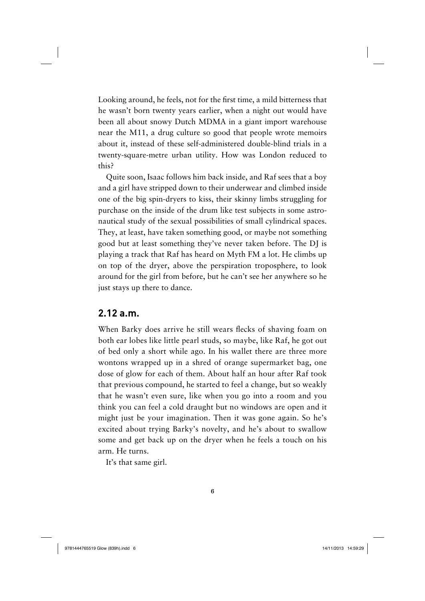Looking around, he feels, not for the first time, a mild bitterness that he wasn't born twenty years earlier, when a night out would have been all about snowy Dutch MDMA in a giant import warehouse near the M11, a drug culture so good that people wrote memoirs about it, instead of these self-administered double-blind trials in a twenty-square-metre urban utility. How was London reduced to this?

Quite soon, Isaac follows him back inside, and Raf sees that a boy and a girl have stripped down to their underwear and climbed inside one of the big spin-dryers to kiss, their skinny limbs struggling for purchase on the inside of the drum like test subjects in some astronautical study of the sexual possibilities of small cylindrical spaces. They, at least, have taken something good, or maybe not something good but at least something they've never taken before. The DJ is playing a track that Raf has heard on Myth FM a lot. He climbs up on top of the dryer, above the perspiration troposphere, to look around for the girl from before, but he can't see her anywhere so he just stays up there to dance.

# **2.12 a.m.**

When Barky does arrive he still wears flecks of shaving foam on both ear lobes like little pearl studs, so maybe, like Raf, he got out of bed only a short while ago. In his wallet there are three more wontons wrapped up in a shred of orange supermarket bag, one dose of glow for each of them. About half an hour after Raf took that previous compound, he started to feel a change, but so weakly that he wasn't even sure, like when you go into a room and you think you can feel a cold draught but no windows are open and it might just be your imagination. Then it was gone again. So he's excited about trying Barky's novelty, and he's about to swallow some and get back up on the dryer when he feels a touch on his arm. He turns.

It's that same girl.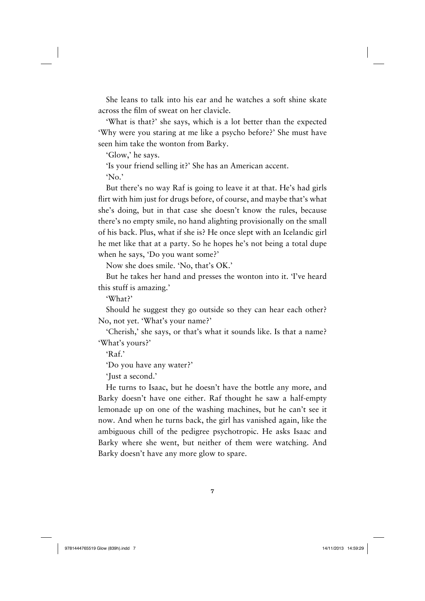She leans to talk into his ear and he watches a soft shine skate across the film of sweat on her clavicle.

'What is that?' she says, which is a lot better than the expected 'Why were you staring at me like a psycho before?' She must have seen him take the wonton from Barky.

'Glow,' he says.

'Is your friend selling it?' She has an American accent.

'No.'

But there's no way Raf is going to leave it at that. He's had girls flirt with him just for drugs before, of course, and maybe that's what she's doing, but in that case she doesn't know the rules, because there's no empty smile, no hand alighting provisionally on the small of his back. Plus, what if she is? He once slept with an Icelandic girl he met like that at a party. So he hopes he's not being a total dupe when he says, 'Do you want some?'

Now she does smile. 'No, that's OK.'

But he takes her hand and presses the wonton into it. 'I've heard this stuff is amazing.'

'What?'

Should he suggest they go outside so they can hear each other? No, not yet. 'What's your name?'

'Cherish,' she says, or that's what it sounds like. Is that a name? 'What's yours?'

'Raf.'

'Do you have any water?'

'Just a second.'

He turns to Isaac, but he doesn't have the bottle any more, and Barky doesn't have one either. Raf thought he saw a half-empty lemonade up on one of the washing machines, but he can't see it now. And when he turns back, the girl has vanished again, like the ambiguous chill of the pedigree psychotropic. He asks Isaac and Barky where she went, but neither of them were watching. And Barky doesn't have any more glow to spare.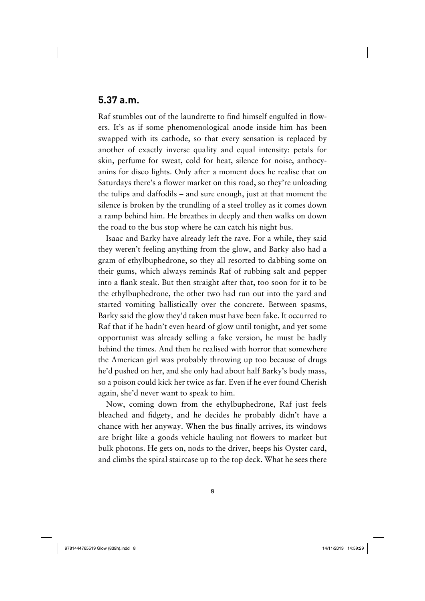## **5.37 a.m.**

Raf stumbles out of the laundrette to find himself engulfed in flowers. It's as if some phenomenological anode inside him has been swapped with its cathode, so that every sensation is replaced by another of exactly inverse quality and equal intensity: petals for skin, perfume for sweat, cold for heat, silence for noise, anthocyanins for disco lights. Only after a moment does he realise that on Saturdays there's a flower market on this road, so they're unloading the tulips and daffodils – and sure enough, just at that moment the silence is broken by the trundling of a steel trolley as it comes down a ramp behind him. He breathes in deeply and then walks on down the road to the bus stop where he can catch his night bus.

Isaac and Barky have already left the rave. For a while, they said they weren't feeling anything from the glow, and Barky also had a gram of ethylbuphedrone, so they all resorted to dabbing some on their gums, which always reminds Raf of rubbing salt and pepper into a flank steak. But then straight after that, too soon for it to be the ethylbuphedrone, the other two had run out into the yard and started vomiting ballistically over the concrete. Between spasms, Barky said the glow they'd taken must have been fake. It occurred to Raf that if he hadn't even heard of glow until tonight, and yet some opportunist was already selling a fake version, he must be badly behind the times. And then he realised with horror that somewhere the American girl was probably throwing up too because of drugs he'd pushed on her, and she only had about half Barky's body mass, so a poison could kick her twice as far. Even if he ever found Cherish again, she'd never want to speak to him.

Now, coming down from the ethylbuphedrone, Raf just feels bleached and fidgety, and he decides he probably didn't have a chance with her anyway. When the bus finally arrives, its windows are bright like a goods vehicle hauling not flowers to market but bulk photons. He gets on, nods to the driver, beeps his Oyster card, and climbs the spiral staircase up to the top deck. What he sees there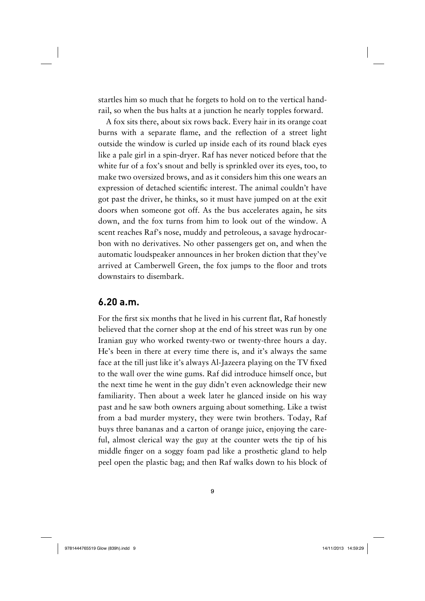startles him so much that he forgets to hold on to the vertical handrail, so when the bus halts at a junction he nearly topples forward.

A fox sits there, about six rows back. Every hair in its orange coat burns with a separate flame, and the reflection of a street light outside the window is curled up inside each of its round black eyes like a pale girl in a spin-dryer. Raf has never noticed before that the white fur of a fox's snout and belly is sprinkled over its eyes, too, to make two oversized brows, and as it considers him this one wears an expression of detached scientific interest. The animal couldn't have got past the driver, he thinks, so it must have jumped on at the exit doors when someone got off. As the bus accelerates again, he sits down, and the fox turns from him to look out of the window. A scent reaches Raf's nose, muddy and petroleous, a savage hydrocarbon with no derivatives. No other passengers get on, and when the automatic loudspeaker announces in her broken diction that they've arrived at Camberwell Green, the fox jumps to the floor and trots downstairs to disembark.

### **6.20 a.m.**

For the first six months that he lived in his current flat, Raf honestly believed that the corner shop at the end of his street was run by one Iranian guy who worked twenty-two or twenty-three hours a day. He's been in there at every time there is, and it's always the same face at the till just like it's always Al-Jazeera playing on the TV fixed to the wall over the wine gums. Raf did introduce himself once, but the next time he went in the guy didn't even acknowledge their new familiarity. Then about a week later he glanced inside on his way past and he saw both owners arguing about something. Like a twist from a bad murder mystery, they were twin brothers. Today, Raf buys three bananas and a carton of orange juice, enjoying the careful, almost clerical way the guy at the counter wets the tip of his middle finger on a soggy foam pad like a prosthetic gland to help peel open the plastic bag; and then Raf walks down to his block of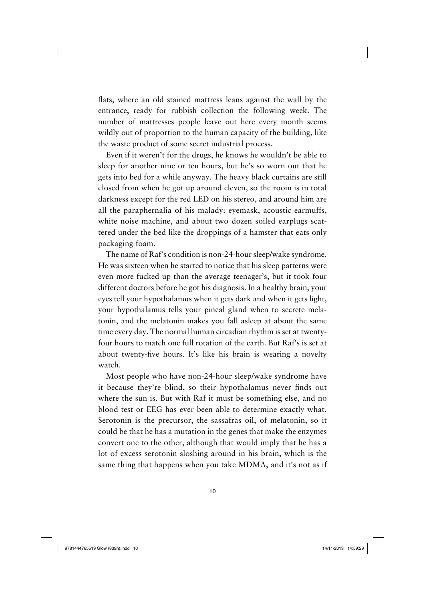flats, where an old stained mattress leans against the wall by the entrance, ready for rubbish collection the following week. The number of mattresses people leave out here every month seems wildly out of proportion to the human capacity of the building, like the waste product of some secret industrial process.

Even if it weren't for the drugs, he knows he wouldn't be able to sleep for another nine or ten hours, but he's so worn out that he gets into bed for a while anyway. The heavy black curtains are still closed from when he got up around eleven, so the room is in total darkness except for the red LED on his stereo, and around him are all the paraphernalia of his malady: eyemask, acoustic earmuffs, white noise machine, and about two dozen soiled earplugs scattered under the bed like the droppings of a hamster that eats only packaging foam.

The name of Raf's condition is non-24-hour sleep/wake syndrome. He was sixteen when he started to notice that his sleep patterns were even more fucked up than the average teenager's, but it took four different doctors before he got his diagnosis. In a healthy brain, your eyes tell your hypothalamus when it gets dark and when it gets light, your hypothalamus tells your pineal gland when to secrete melatonin, and the melatonin makes you fall asleep at about the same time every day. The normal human circadian rhythm is set at twentyfour hours to match one full rotation of the earth. But Raf's is set at about twenty-five hours. It's like his brain is wearing a novelty watch.

Most people who have non-24-hour sleep/wake syndrome have it because they're blind, so their hypothalamus never finds out where the sun is. But with Raf it must be something else, and no blood test or EEG has ever been able to determine exactly what. Serotonin is the precursor, the sassafras oil, of melatonin, so it could be that he has a mutation in the genes that make the enzymes convert one to the other, although that would imply that he has a lot of excess serotonin sloshing around in his brain, which is the same thing that happens when you take MDMA, and it's not as if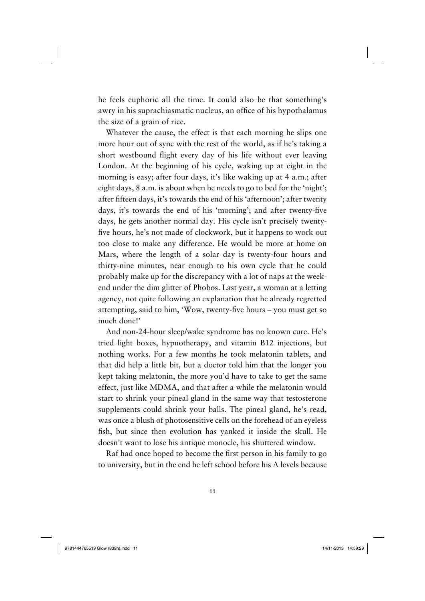he feels euphoric all the time. It could also be that something's awry in his suprachiasmatic nucleus, an office of his hypothalamus the size of a grain of rice.

Whatever the cause, the effect is that each morning he slips one more hour out of sync with the rest of the world, as if he's taking a short westbound flight every day of his life without ever leaving London. At the beginning of his cycle, waking up at eight in the morning is easy; after four days, it's like waking up at 4 a.m.; after eight days, 8 a.m. is about when he needs to go to bed for the 'night'; after fifteen days, it's towards the end of his 'afternoon'; after twenty days, it's towards the end of his 'morning'; and after twenty-five days, he gets another normal day. His cycle isn't precisely twentyfive hours, he's not made of clockwork, but it happens to work out too close to make any difference. He would be more at home on Mars, where the length of a solar day is twenty-four hours and thirty-nine minutes, near enough to his own cycle that he could probably make up for the discrepancy with a lot of naps at the weekend under the dim glitter of Phobos. Last year, a woman at a letting agency, not quite following an explanation that he already regretted attempting, said to him, 'Wow, twenty-five hours – you must get so much done!'

And non-24-hour sleep/wake syndrome has no known cure. He's tried light boxes, hypnotherapy, and vitamin B12 injections, but nothing works. For a few months he took melatonin tablets, and that did help a little bit, but a doctor told him that the longer you kept taking melatonin, the more you'd have to take to get the same effect, just like MDMA, and that after a while the melatonin would start to shrink your pineal gland in the same way that testosterone supplements could shrink your balls. The pineal gland, he's read, was once a blush of photosensitive cells on the forehead of an eyeless fish, but since then evolution has yanked it inside the skull. He doesn't want to lose his antique monocle, his shuttered window.

Raf had once hoped to become the first person in his family to go to university, but in the end he left school before his A levels because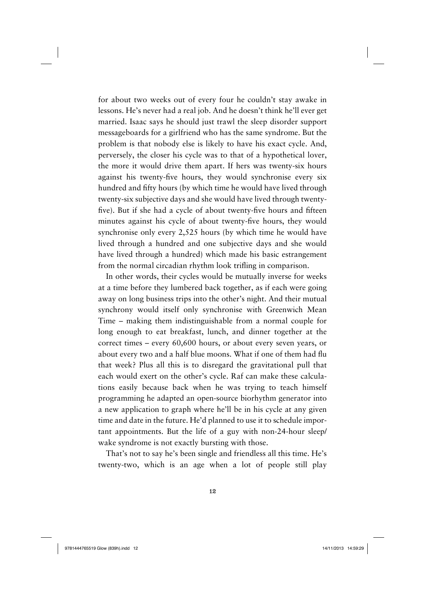for about two weeks out of every four he couldn't stay awake in lessons. He's never had a real job. And he doesn't think he'll ever get married. Isaac says he should just trawl the sleep disorder support messageboards for a girlfriend who has the same syndrome. But the problem is that nobody else is likely to have his exact cycle. And, perversely, the closer his cycle was to that of a hypothetical lover, the more it would drive them apart. If hers was twenty-six hours against his twenty-five hours, they would synchronise every six hundred and fifty hours (by which time he would have lived through twenty-six subjective days and she would have lived through twentyfive). But if she had a cycle of about twenty-five hours and fifteen minutes against his cycle of about twenty-five hours, they would synchronise only every 2,525 hours (by which time he would have lived through a hundred and one subjective days and she would have lived through a hundred) which made his basic estrangement from the normal circadian rhythm look trifling in comparison.

In other words, their cycles would be mutually inverse for weeks at a time before they lumbered back together, as if each were going away on long business trips into the other's night. And their mutual synchrony would itself only synchronise with Greenwich Mean Time – making them indistinguishable from a normal couple for long enough to eat breakfast, lunch, and dinner together at the correct times – every 60,600 hours, or about every seven years, or about every two and a half blue moons. What if one of them had flu that week? Plus all this is to disregard the gravitational pull that each would exert on the other's cycle. Raf can make these calculations easily because back when he was trying to teach himself programming he adapted an open-source biorhythm generator into a new application to graph where he'll be in his cycle at any given time and date in the future. He'd planned to use it to schedule important appointments. But the life of a guy with non-24-hour sleep/ wake syndrome is not exactly bursting with those.

That's not to say he's been single and friendless all this time. He's twenty-two, which is an age when a lot of people still play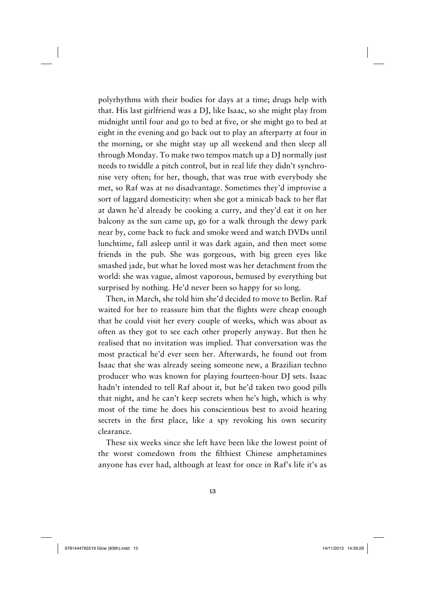polyrhythms with their bodies for days at a time; drugs help with that. His last girlfriend was a DJ, like Isaac, so she might play from midnight until four and go to bed at five, or she might go to bed at eight in the evening and go back out to play an afterparty at four in the morning, or she might stay up all weekend and then sleep all through Monday. To make two tempos match up a DJ normally just needs to twiddle a pitch control, but in real life they didn't synchronise very often; for her, though, that was true with everybody she met, so Raf was at no disadvantage. Sometimes they'd improvise a sort of laggard domesticity: when she got a minicab back to her flat at dawn he'd already be cooking a curry, and they'd eat it on her balcony as the sun came up, go for a walk through the dewy park near by, come back to fuck and smoke weed and watch DVDs until lunchtime, fall asleep until it was dark again, and then meet some friends in the pub. She was gorgeous, with big green eyes like smashed jade, but what he loved most was her detachment from the world: she was vague, almost vaporous, bemused by everything but surprised by nothing. He'd never been so happy for so long.

Then, in March, she told him she'd decided to move to Berlin. Raf waited for her to reassure him that the flights were cheap enough that he could visit her every couple of weeks, which was about as often as they got to see each other properly anyway. But then he realised that no invitation was implied. That conversation was the most practical he'd ever seen her. Afterwards, he found out from Isaac that she was already seeing someone new, a Brazilian techno producer who was known for playing fourteen-hour DJ sets. Isaac hadn't intended to tell Raf about it, but he'd taken two good pills that night, and he can't keep secrets when he's high, which is why most of the time he does his conscientious best to avoid hearing secrets in the first place, like a spy revoking his own security clearance.

These six weeks since she left have been like the lowest point of the worst comedown from the filthiest Chinese amphetamines anyone has ever had, although at least for once in Raf's life it's as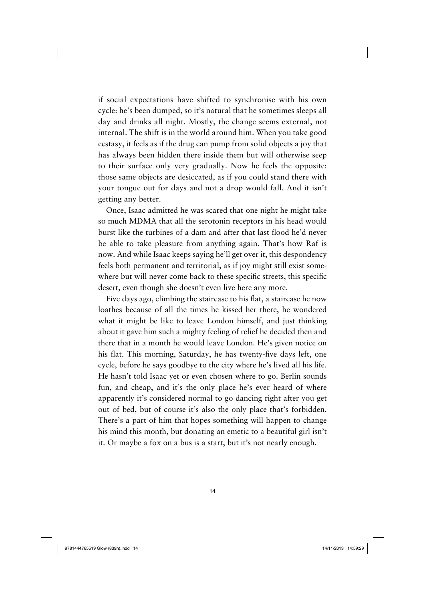if social expectations have shifted to synchronise with his own cycle: he's been dumped, so it's natural that he sometimes sleeps all day and drinks all night. Mostly, the change seems external, not internal. The shift is in the world around him. When you take good ecstasy, it feels as if the drug can pump from solid objects a joy that has always been hidden there inside them but will otherwise seep to their surface only very gradually. Now he feels the opposite: those same objects are desiccated, as if you could stand there with your tongue out for days and not a drop would fall. And it isn't getting any better.

Once, Isaac admitted he was scared that one night he might take so much MDMA that all the serotonin receptors in his head would burst like the turbines of a dam and after that last flood he'd never be able to take pleasure from anything again. That's how Raf is now. And while Isaac keeps saying he'll get over it, this despondency feels both permanent and territorial, as if joy might still exist somewhere but will never come back to these specific streets, this specific desert, even though she doesn't even live here any more.

Five days ago, climbing the staircase to his flat, a staircase he now loathes because of all the times he kissed her there, he wondered what it might be like to leave London himself, and just thinking about it gave him such a mighty feeling of relief he decided then and there that in a month he would leave London. He's given notice on his flat. This morning, Saturday, he has twenty-five days left, one cycle, before he says goodbye to the city where he's lived all his life. He hasn't told Isaac yet or even chosen where to go. Berlin sounds fun, and cheap, and it's the only place he's ever heard of where apparently it's considered normal to go dancing right after you get out of bed, but of course it's also the only place that's forbidden. There's a part of him that hopes something will happen to change his mind this month, but donating an emetic to a beautiful girl isn't it. Or maybe a fox on a bus is a start, but it's not nearly enough.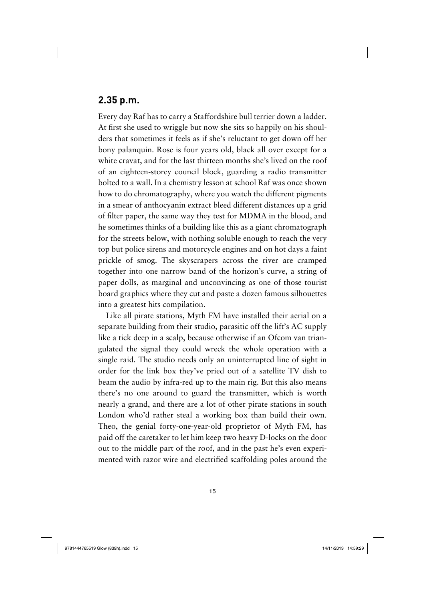### **2.35 p.m.**

Every day Raf has to carry a Staffordshire bull terrier down a ladder. At first she used to wriggle but now she sits so happily on his shoulders that sometimes it feels as if she's reluctant to get down off her bony palanquin. Rose is four years old, black all over except for a white cravat, and for the last thirteen months she's lived on the roof of an eighteen-storey council block, guarding a radio transmitter bolted to a wall. In a chemistry lesson at school Raf was once shown how to do chromatography, where you watch the different pigments in a smear of anthocyanin extract bleed different distances up a grid of filter paper, the same way they test for MDMA in the blood, and he sometimes thinks of a building like this as a giant chromatograph for the streets below, with nothing soluble enough to reach the very top but police sirens and motorcycle engines and on hot days a faint prickle of smog. The skyscrapers across the river are cramped together into one narrow band of the horizon's curve, a string of paper dolls, as marginal and unconvincing as one of those tourist board graphics where they cut and paste a dozen famous silhouettes into a greatest hits compilation.

Like all pirate stations, Myth FM have installed their aerial on a separate building from their studio, parasitic off the lift's AC supply like a tick deep in a scalp, because otherwise if an Ofcom van triangulated the signal they could wreck the whole operation with a single raid. The studio needs only an uninterrupted line of sight in order for the link box they've pried out of a satellite TV dish to beam the audio by infra-red up to the main rig. But this also means there's no one around to guard the transmitter, which is worth nearly a grand, and there are a lot of other pirate stations in south London who'd rather steal a working box than build their own. Theo, the genial forty-one-year-old proprietor of Myth FM, has paid off the caretaker to let him keep two heavy D-locks on the door out to the middle part of the roof, and in the past he's even experimented with razor wire and electrified scaffolding poles around the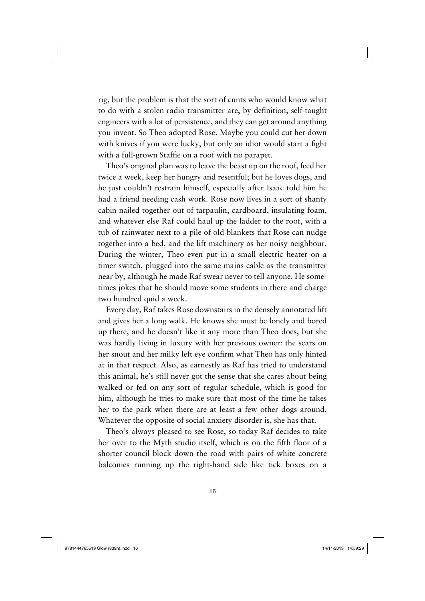rig, but the problem is that the sort of cunts who would know what to do with a stolen radio transmitter are, by definition, self-taught engineers with a lot of persistence, and they can get around anything you invent. So Theo adopted Rose. Maybe you could cut her down with knives if you were lucky, but only an idiot would start a fight with a full-grown Staffie on a roof with no parapet.

Theo's original plan was to leave the beast up on the roof, feed her twice a week, keep her hungry and resentful; but he loves dogs, and he just couldn't restrain himself, especially after Isaac told him he had a friend needing cash work. Rose now lives in a sort of shanty cabin nailed together out of tarpaulin, cardboard, insulating foam, and whatever else Raf could haul up the ladder to the roof, with a tub of rainwater next to a pile of old blankets that Rose can nudge together into a bed, and the lift machinery as her noisy neighbour. During the winter, Theo even put in a small electric heater on a timer switch, plugged into the same mains cable as the transmitter near by, although he made Raf swear never to tell anyone. He sometimes jokes that he should move some students in there and charge two hundred quid a week.

Every day, Raf takes Rose downstairs in the densely annotated lift and gives her a long walk. He knows she must be lonely and bored up there, and he doesn't like it any more than Theo does, but she was hardly living in luxury with her previous owner: the scars on her snout and her milky left eye confirm what Theo has only hinted at in that respect. Also, as earnestly as Raf has tried to understand this animal, he's still never got the sense that she cares about being walked or fed on any sort of regular schedule, which is good for him, although he tries to make sure that most of the time he takes her to the park when there are at least a few other dogs around. Whatever the opposite of social anxiety disorder is, she has that.

Theo's always pleased to see Rose, so today Raf decides to take her over to the Myth studio itself, which is on the fifth floor of a shorter council block down the road with pairs of white concrete balconies running up the right-hand side like tick boxes on a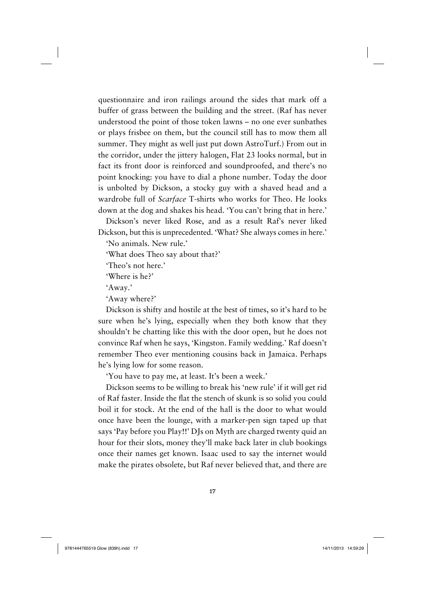questionnaire and iron railings around the sides that mark off a buffer of grass between the building and the street. (Raf has never understood the point of those token lawns – no one ever sunbathes or plays frisbee on them, but the council still has to mow them all summer. They might as well just put down AstroTurf.) From out in the corridor, under the jittery halogen, Flat 23 looks normal, but in fact its front door is reinforced and soundproofed, and there's no point knocking: you have to dial a phone number. Today the door is unbolted by Dickson, a stocky guy with a shaved head and a wardrobe full of *Scarface* T-shirts who works for Theo. He looks down at the dog and shakes his head. 'You can't bring that in here.'

Dickson's never liked Rose, and as a result Raf's never liked Dickson, but this is unprecedented. 'What? She always comes in here.'

'No animals. New rule.'

'What does Theo say about that?'

'Theo's not here.'

'Where is he?'

'Away.'

'Away where?'

Dickson is shifty and hostile at the best of times, so it's hard to be sure when he's lying, especially when they both know that they shouldn't be chatting like this with the door open, but he does not convince Raf when he says, 'Kingston. Family wedding.' Raf doesn't remember Theo ever mentioning cousins back in Jamaica. Perhaps he's lying low for some reason.

'You have to pay me, at least. It's been a week.'

Dickson seems to be willing to break his 'new rule' if it will get rid of Raf faster. Inside the flat the stench of skunk is so solid you could boil it for stock. At the end of the hall is the door to what would once have been the lounge, with a marker-pen sign taped up that says 'Pay before you Play!!' DJs on Myth are charged twenty quid an hour for their slots, money they'll make back later in club bookings once their names get known. Isaac used to say the internet would make the pirates obsolete, but Raf never believed that, and there are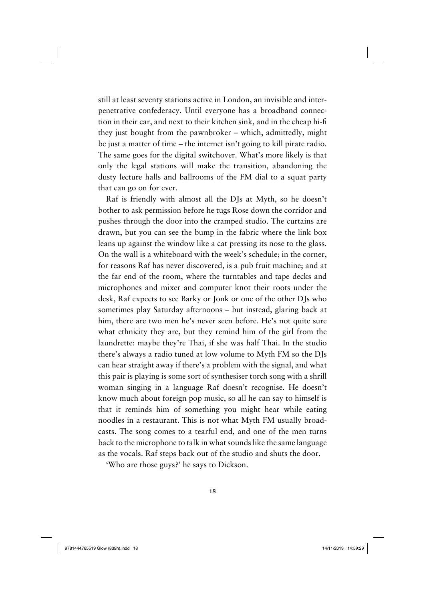still at least seventy stations active in London, an invisible and interpenetrative confederacy. Until everyone has a broadband connection in their car, and next to their kitchen sink, and in the cheap hi-fi they just bought from the pawnbroker – which, admittedly, might be just a matter of time – the internet isn't going to kill pirate radio. The same goes for the digital switchover. What's more likely is that only the legal stations will make the transition, abandoning the dusty lecture halls and ballrooms of the FM dial to a squat party that can go on for ever.

Raf is friendly with almost all the DJs at Myth, so he doesn't bother to ask permission before he tugs Rose down the corridor and pushes through the door into the cramped studio. The curtains are drawn, but you can see the bump in the fabric where the link box leans up against the window like a cat pressing its nose to the glass. On the wall is a whiteboard with the week's schedule; in the corner, for reasons Raf has never discovered, is a pub fruit machine; and at the far end of the room, where the turntables and tape decks and microphones and mixer and computer knot their roots under the desk, Raf expects to see Barky or Jonk or one of the other DJs who sometimes play Saturday afternoons – but instead, glaring back at him, there are two men he's never seen before. He's not quite sure what ethnicity they are, but they remind him of the girl from the laundrette: maybe they're Thai, if she was half Thai. In the studio there's always a radio tuned at low volume to Myth FM so the DJs can hear straight away if there's a problem with the signal, and what this pair is playing is some sort of synthesiser torch song with a shrill woman singing in a language Raf doesn't recognise. He doesn't know much about foreign pop music, so all he can say to himself is that it reminds him of something you might hear while eating noodles in a restaurant. This is not what Myth FM usually broadcasts. The song comes to a tearful end, and one of the men turns back to the microphone to talk in what sounds like the same language as the vocals. Raf steps back out of the studio and shuts the door.

'Who are those guys?' he says to Dickson.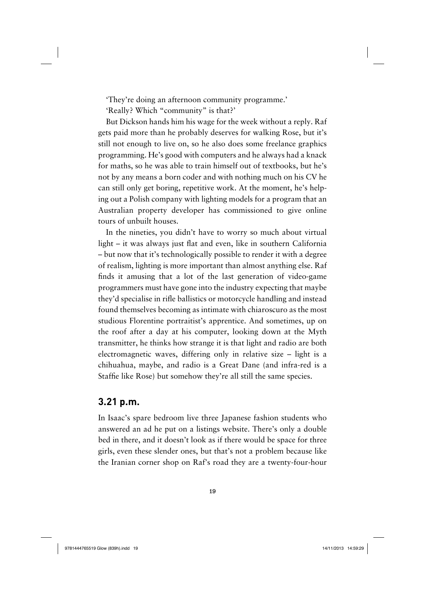'They're doing an afternoon community programme.'

'Really? Which "community" is that?'

But Dickson hands him his wage for the week without a reply. Raf gets paid more than he probably deserves for walking Rose, but it's still not enough to live on, so he also does some freelance graphics programming. He's good with computers and he always had a knack for maths, so he was able to train himself out of textbooks, but he's not by any means a born coder and with nothing much on his CV he can still only get boring, repetitive work. At the moment, he's helping out a Polish company with lighting models for a program that an Australian property developer has commissioned to give online tours of unbuilt houses.

In the nineties, you didn't have to worry so much about virtual light – it was always just flat and even, like in southern California – but now that it's technologically possible to render it with a degree of realism, lighting is more important than almost anything else. Raf finds it amusing that a lot of the last generation of video-game programmers must have gone into the industry expecting that maybe they'd specialise in rifle ballistics or motorcycle handling and instead found themselves becoming as intimate with chiaroscuro as the most studious Florentine portraitist's apprentice. And sometimes, up on the roof after a day at his computer, looking down at the Myth transmitter, he thinks how strange it is that light and radio are both electromagnetic waves, differing only in relative size – light is a chihuahua, maybe, and radio is a Great Dane (and infra-red is a Staffie like Rose) but somehow they're all still the same species.

# **3.21 p.m.**

In Isaac's spare bedroom live three Japanese fashion students who answered an ad he put on a listings website. There's only a double bed in there, and it doesn't look as if there would be space for three girls, even these slender ones, but that's not a problem because like the Iranian corner shop on Raf's road they are a twenty-four-hour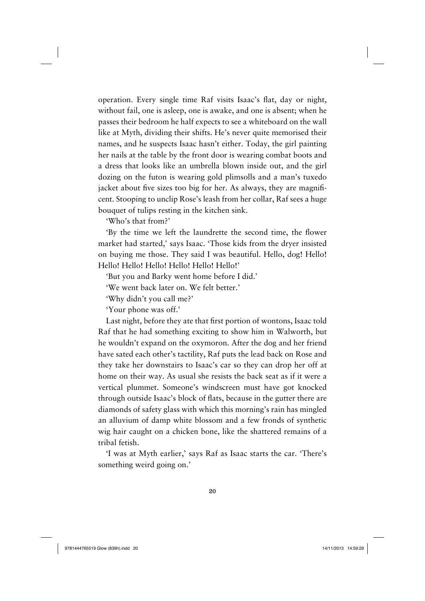operation. Every single time Raf visits Isaac's flat, day or night, without fail, one is asleep, one is awake, and one is absent; when he passes their bedroom he half expects to see a whiteboard on the wall like at Myth, dividing their shifts. He's never quite memorised their names, and he suspects Isaac hasn't either. Today, the girl painting her nails at the table by the front door is wearing combat boots and a dress that looks like an umbrella blown inside out, and the girl dozing on the futon is wearing gold plimsolls and a man's tuxedo jacket about five sizes too big for her. As always, they are magnificent. Stooping to unclip Rose's leash from her collar, Raf sees a huge bouquet of tulips resting in the kitchen sink.

'Who's that from?'

'By the time we left the laundrette the second time, the flower market had started,' says Isaac. 'Those kids from the dryer insisted on buying me those. They said I was beautiful. Hello, dog! Hello! Hello! Hello! Hello! Hello! Hello! Hello!'

'But you and Barky went home before I did.'

'We went back later on. We felt better.'

'Why didn't you call me?'

'Your phone was off.'

Last night, before they ate that first portion of wontons, Isaac told Raf that he had something exciting to show him in Walworth, but he wouldn't expand on the oxymoron. After the dog and her friend have sated each other's tactility, Raf puts the lead back on Rose and they take her downstairs to Isaac's car so they can drop her off at home on their way. As usual she resists the back seat as if it were a vertical plummet. Someone's windscreen must have got knocked through outside Isaac's block of flats, because in the gutter there are diamonds of safety glass with which this morning's rain has mingled an alluvium of damp white blossom and a few fronds of synthetic wig hair caught on a chicken bone, like the shattered remains of a tribal fetish.

'I was at Myth earlier,' says Raf as Isaac starts the car. 'There's something weird going on.'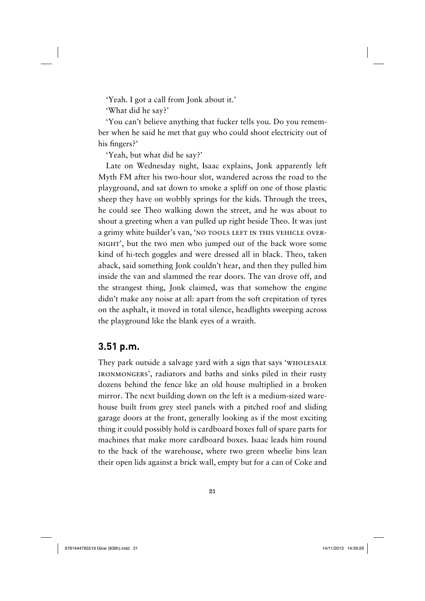'Yeah. I got a call from Jonk about it.'

'What did he say?'

'You can't believe anything that fucker tells you. Do you remember when he said he met that guy who could shoot electricity out of his fingers?'

'Yeah, but what did he say?'

Late on Wednesday night, Isaac explains, Jonk apparently left Myth FM after his two-hour slot, wandered across the road to the playground, and sat down to smoke a spliff on one of those plastic sheep they have on wobbly springs for the kids. Through the trees, he could see Theo walking down the street, and he was about to shout a greeting when a van pulled up right beside Theo. It was just a grimy white builder's van, 'NO TOOLS LEFT IN THIS VEHICLE OVERnight', but the two men who jumped out of the back wore some kind of hi-tech goggles and were dressed all in black. Theo, taken aback, said something Jonk couldn't hear, and then they pulled him inside the van and slammed the rear doors. The van drove off, and the strangest thing, Jonk claimed, was that somehow the engine didn't make any noise at all: apart from the soft crepitation of tyres on the asphalt, it moved in total silence, headlights sweeping across the playground like the blank eyes of a wraith.

#### **3.51 p.m.**

They park outside a salvage yard with a sign that says 'WHOLESALE ironmongers', radiators and baths and sinks piled in their rusty dozens behind the fence like an old house multiplied in a broken mirror. The next building down on the left is a medium-sized warehouse built from grey steel panels with a pitched roof and sliding garage doors at the front, generally looking as if the most exciting thing it could possibly hold is cardboard boxes full of spare parts for machines that make more cardboard boxes. Isaac leads him round to the back of the warehouse, where two green wheelie bins lean their open lids against a brick wall, empty but for a can of Coke and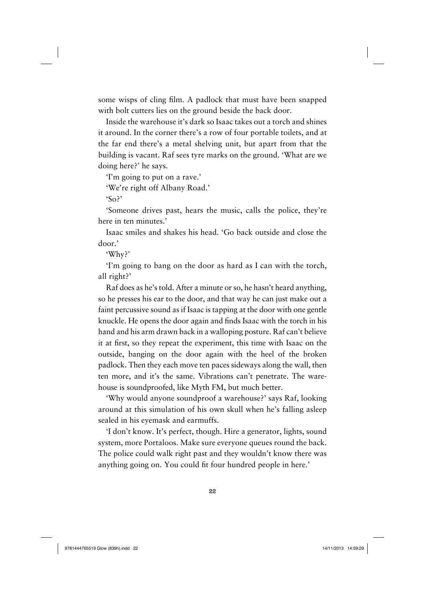some wisps of cling film. A padlock that must have been snapped with bolt cutters lies on the ground beside the back door.

Inside the warehouse it's dark so Isaac takes out a torch and shines it around. In the corner there's a row of four portable toilets, and at the far end there's a metal shelving unit, but apart from that the building is vacant. Raf sees tyre marks on the ground. 'What are we doing here?' he says.

'I'm going to put on a rave.'

'We're right off Albany Road.'

'So?'

'Someone drives past, hears the music, calls the police, they're here in ten minutes.'

Isaac smiles and shakes his head. 'Go back outside and close the door.'

'Why?'

'I'm going to bang on the door as hard as I can with the torch, all right?'

Raf does as he's told. After a minute or so, he hasn't heard anything, so he presses his ear to the door, and that way he can just make out a faint percussive sound as if Isaac is tapping at the door with one gentle knuckle. He opens the door again and finds Isaac with the torch in his hand and his arm drawn back in a walloping posture. Raf can't believe it at first, so they repeat the experiment, this time with Isaac on the outside, banging on the door again with the heel of the broken padlock. Then they each move ten paces sideways along the wall, then ten more, and it's the same. Vibrations can't penetrate. The warehouse is soundproofed, like Myth FM, but much better.

'Why would anyone soundproof a warehouse?' says Raf, looking around at this simulation of his own skull when he's falling asleep sealed in his eyemask and earmuffs.

'I don't know. It's perfect, though. Hire a generator, lights, sound system, more Portaloos. Make sure everyone queues round the back. The police could walk right past and they wouldn't know there was anything going on. You could fit four hundred people in here.'